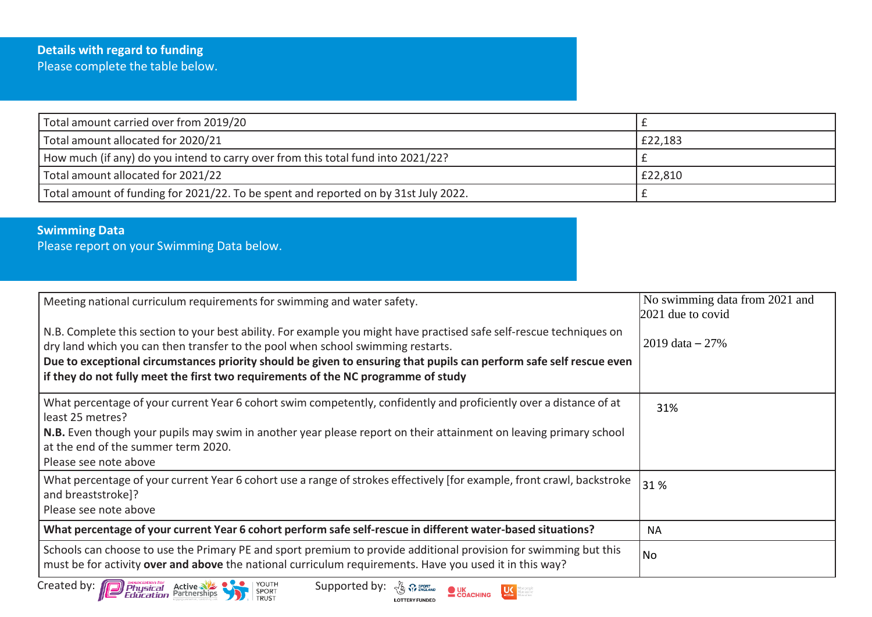| Total amount carried over from 2019/20                                              |         |
|-------------------------------------------------------------------------------------|---------|
| Total amount allocated for 2020/21                                                  | £22,183 |
| How much (if any) do you intend to carry over from this total fund into 2021/22?    |         |
| Total amount allocated for 2021/22                                                  | £22,810 |
| Total amount of funding for 2021/22. To be spent and reported on by 31st July 2022. |         |

## **Swimming Data**

Please report on your Swimming Data below.

| Meeting national curriculum requirements for swimming and water safety.                                                                                                                                                                                                                                                                                                                                             | No swimming data from 2021 and<br>2021 due to covid |
|---------------------------------------------------------------------------------------------------------------------------------------------------------------------------------------------------------------------------------------------------------------------------------------------------------------------------------------------------------------------------------------------------------------------|-----------------------------------------------------|
| N.B. Complete this section to your best ability. For example you might have practised safe self-rescue techniques on<br>dry land which you can then transfer to the pool when school swimming restarts.<br>Due to exceptional circumstances priority should be given to ensuring that pupils can perform safe self rescue even<br>if they do not fully meet the first two requirements of the NC programme of study | $2019 \text{ data} - 27\%$                          |
| What percentage of your current Year 6 cohort swim competently, confidently and proficiently over a distance of at<br>least 25 metres?                                                                                                                                                                                                                                                                              | 31%                                                 |
| N.B. Even though your pupils may swim in another year please report on their attainment on leaving primary school<br>at the end of the summer term 2020.<br>Please see note above                                                                                                                                                                                                                                   |                                                     |
| What percentage of your current Year 6 cohort use a range of strokes effectively [for example, front crawl, backstroke<br>and breaststroke]?<br>Please see note above                                                                                                                                                                                                                                               | 31%                                                 |
| What percentage of your current Year 6 cohort perform safe self-rescue in different water-based situations?                                                                                                                                                                                                                                                                                                         | <b>NA</b>                                           |
| Schools can choose to use the Primary PE and sport premium to provide additional provision for swimming but this<br>must be for activity over and above the national curriculum requirements. Have you used it in this way?                                                                                                                                                                                         | <b>No</b>                                           |
| Created by: <b>Deprese Advantage Created by:</b> Physical Active<br>YOUTH<br>SPORT<br>TRUST<br>Supported by:<br>COACHING                                                                                                                                                                                                                                                                                            |                                                     |

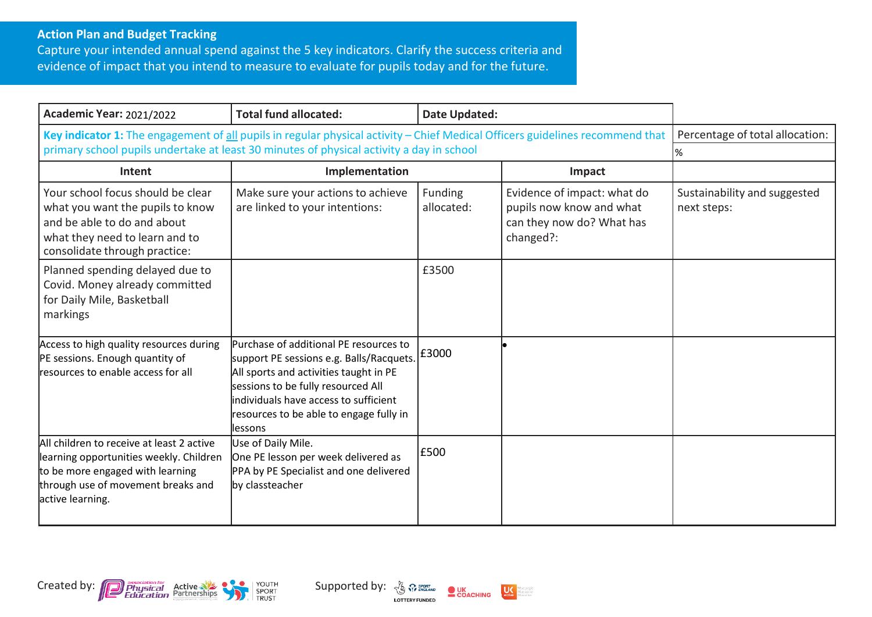## **Action Plan and Budget Tracking**

Capture your intended annual spend against the 5 key indicators. Clarify the success criteria and evidence of impact that you intend to measure to evaluate for pupils today and for the future.

| <b>Academic Year: 2021/2022</b>                                                                                                                                                                                           | <b>Total fund allocated:</b>                                                                                                                                                                                                                                        | <b>Date Updated:</b>  |                                                                                                   |                                             |
|---------------------------------------------------------------------------------------------------------------------------------------------------------------------------------------------------------------------------|---------------------------------------------------------------------------------------------------------------------------------------------------------------------------------------------------------------------------------------------------------------------|-----------------------|---------------------------------------------------------------------------------------------------|---------------------------------------------|
| Key indicator 1: The engagement of all pupils in regular physical activity - Chief Medical Officers guidelines recommend that<br>primary school pupils undertake at least 30 minutes of physical activity a day in school |                                                                                                                                                                                                                                                                     |                       |                                                                                                   | Percentage of total allocation:<br>%        |
| Intent                                                                                                                                                                                                                    | Implementation                                                                                                                                                                                                                                                      |                       | Impact                                                                                            |                                             |
| Your school focus should be clear<br>what you want the pupils to know<br>and be able to do and about<br>what they need to learn and to<br>consolidate through practice:                                                   | Make sure your actions to achieve<br>are linked to your intentions:                                                                                                                                                                                                 | Funding<br>allocated: | Evidence of impact: what do<br>pupils now know and what<br>can they now do? What has<br>changed?: | Sustainability and suggested<br>next steps: |
| Planned spending delayed due to<br>Covid. Money already committed<br>for Daily Mile, Basketball<br>markings                                                                                                               |                                                                                                                                                                                                                                                                     | £3500                 |                                                                                                   |                                             |
| Access to high quality resources during<br>PE sessions. Enough quantity of<br>resources to enable access for all                                                                                                          | Purchase of additional PE resources to<br>support PE sessions e.g. Balls/Racquets.<br>All sports and activities taught in PE<br>sessions to be fully resourced All<br>lindividuals have access to sufficient<br>resources to be able to engage fully in<br>llessons | £3000                 |                                                                                                   |                                             |
| All children to receive at least 2 active<br>learning opportunities weekly. Children<br>to be more engaged with learning<br>through use of movement breaks and<br>active learning.                                        | Use of Daily Mile.<br>One PE lesson per week delivered as<br>PPA by PE Specialist and one delivered<br>by classteacher                                                                                                                                              | £500                  |                                                                                                   |                                             |





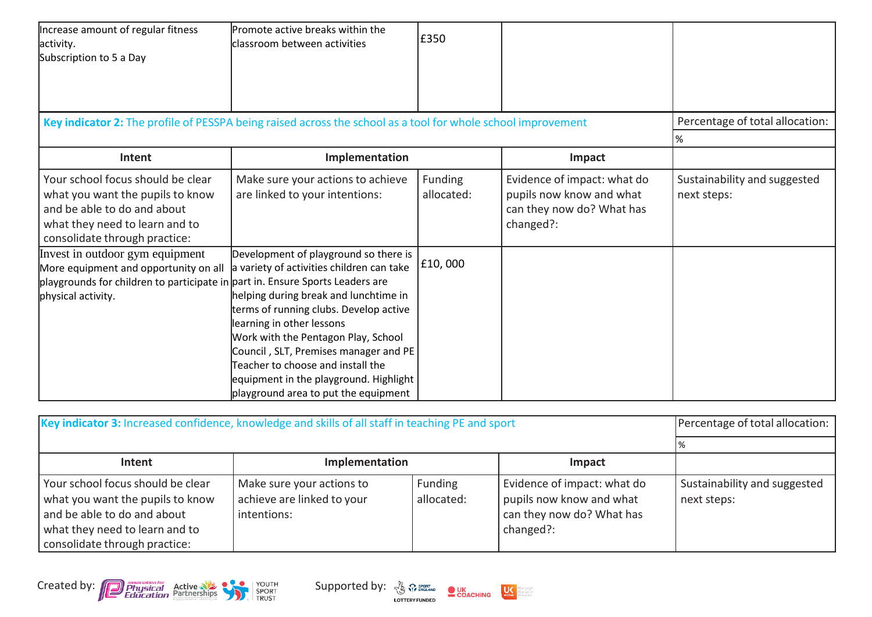| Increase amount of regular fitness<br>activity.<br>Subscription to 5 a Day                                                                                                      | Promote active breaks within the<br>classroom between activities                                                                                                                                                                                                                                                                                                                                          | £350                  |                                                                                                   |                                             |
|---------------------------------------------------------------------------------------------------------------------------------------------------------------------------------|-----------------------------------------------------------------------------------------------------------------------------------------------------------------------------------------------------------------------------------------------------------------------------------------------------------------------------------------------------------------------------------------------------------|-----------------------|---------------------------------------------------------------------------------------------------|---------------------------------------------|
| Key indicator 2: The profile of PESSPA being raised across the school as a tool for whole school improvement                                                                    |                                                                                                                                                                                                                                                                                                                                                                                                           |                       |                                                                                                   | Percentage of total allocation:             |
| Intent                                                                                                                                                                          | Implementation                                                                                                                                                                                                                                                                                                                                                                                            |                       | Impact                                                                                            | %                                           |
|                                                                                                                                                                                 |                                                                                                                                                                                                                                                                                                                                                                                                           |                       |                                                                                                   |                                             |
| Your school focus should be clear<br>what you want the pupils to know<br>and be able to do and about<br>what they need to learn and to<br>consolidate through practice:         | Make sure your actions to achieve<br>are linked to your intentions:                                                                                                                                                                                                                                                                                                                                       | Funding<br>allocated: | Evidence of impact: what do<br>pupils now know and what<br>can they now do? What has<br>changed?: | Sustainability and suggested<br>next steps: |
| Invest in outdoor gym equipment<br>More equipment and opportunity on all<br>playgrounds for children to participate in part in. Ensure Sports Leaders are<br>physical activity. | Development of playground so there is<br>a variety of activities children can take<br>helping during break and lunchtime in<br>terms of running clubs. Develop active<br>learning in other lessons<br>Work with the Pentagon Play, School<br>Council, SLT, Premises manager and PE<br>Teacher to choose and install the<br>equipment in the playground. Highlight<br>playground area to put the equipment | £10,000               |                                                                                                   |                                             |

| Key indicator 3: Increased confidence, knowledge and skills of all staff in teaching PE and sport                                                                       | Percentage of total allocation:                                        |                       |                                                                                                   |                                             |
|-------------------------------------------------------------------------------------------------------------------------------------------------------------------------|------------------------------------------------------------------------|-----------------------|---------------------------------------------------------------------------------------------------|---------------------------------------------|
|                                                                                                                                                                         |                                                                        |                       |                                                                                                   |                                             |
| Intent                                                                                                                                                                  |                                                                        |                       |                                                                                                   |                                             |
| Your school focus should be clear<br>what you want the pupils to know<br>and be able to do and about<br>what they need to learn and to<br>consolidate through practice: | Make sure your actions to<br>achieve are linked to your<br>intentions: | Funding<br>allocated: | Evidence of impact: what do<br>pupils now know and what<br>can they now do? What has<br>changed?: | Sustainability and suggested<br>next steps: |



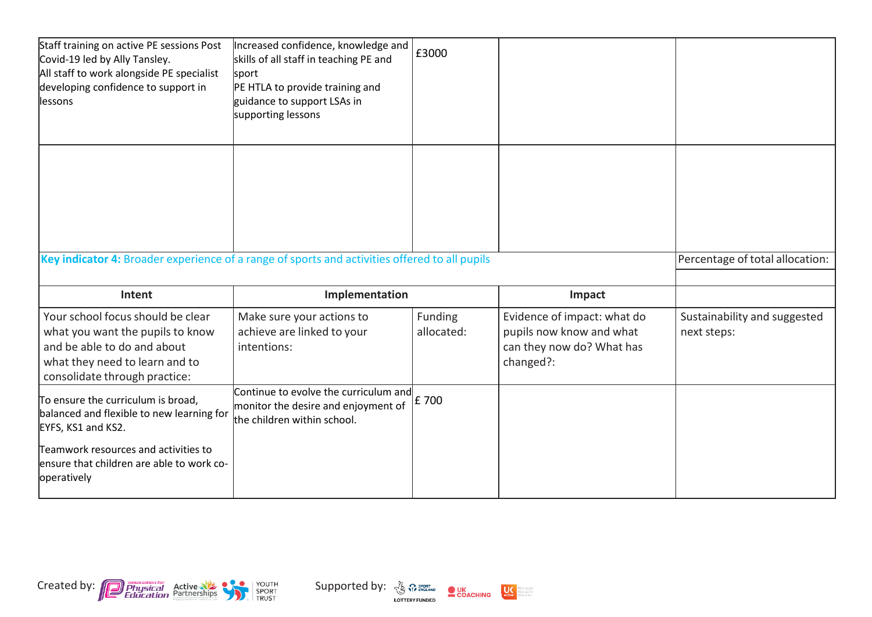| Staff training on active PE sessions Post<br>Covid-19 led by Ally Tansley.<br>All staff to work alongside PE specialist<br>developing confidence to support in<br>lessons | Increased confidence, knowledge and<br>skills of all staff in teaching PE and<br>sport<br>PE HTLA to provide training and<br>guidance to support LSAs in<br>supporting lessons | £3000                 |                                                                                                   |                                             |
|---------------------------------------------------------------------------------------------------------------------------------------------------------------------------|--------------------------------------------------------------------------------------------------------------------------------------------------------------------------------|-----------------------|---------------------------------------------------------------------------------------------------|---------------------------------------------|
| Key indicator 4: Broader experience of a range of sports and activities offered to all pupils                                                                             |                                                                                                                                                                                |                       |                                                                                                   | Percentage of total allocation:             |
|                                                                                                                                                                           |                                                                                                                                                                                |                       |                                                                                                   |                                             |
| Intent                                                                                                                                                                    | Implementation                                                                                                                                                                 |                       | Impact                                                                                            |                                             |
| Your school focus should be clear<br>what you want the pupils to know<br>and be able to do and about<br>what they need to learn and to<br>consolidate through practice:   | Make sure your actions to<br>achieve are linked to your<br>intentions:                                                                                                         | Funding<br>allocated: | Evidence of impact: what do<br>pupils now know and what<br>can they now do? What has<br>changed?: | Sustainability and suggested<br>next steps: |
| To ensure the curriculum is broad,<br>balanced and flexible to new learning for<br>EYFS, KS1 and KS2.                                                                     | Continue to evolve the curriculum and<br>monitor the desire and enjoyment of<br>the children within school.                                                                    | £ 700                 |                                                                                                   |                                             |
| Teamwork resources and activities to<br>ensure that children are able to work co-<br>operatively                                                                          |                                                                                                                                                                                |                       |                                                                                                   |                                             |



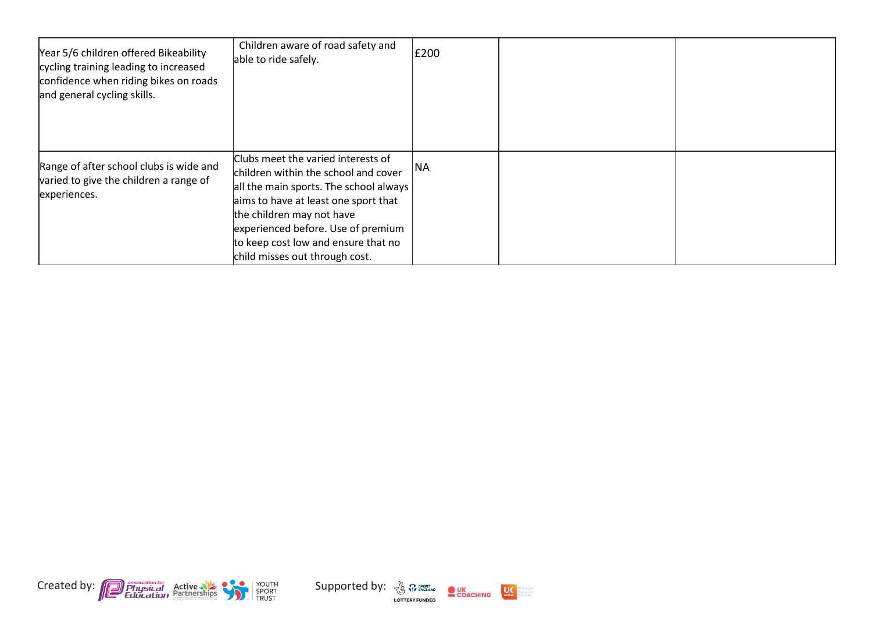| Year 5/6 children offered Bikeability<br>cycling training leading to increased<br>confidence when riding bikes on roads<br>and general cycling skills. | Children aware of road safety and<br>able to ride safely.                                                                                                                                                                                                                                                | E200      |  |
|--------------------------------------------------------------------------------------------------------------------------------------------------------|----------------------------------------------------------------------------------------------------------------------------------------------------------------------------------------------------------------------------------------------------------------------------------------------------------|-----------|--|
| Range of after school clubs is wide and<br>varied to give the children a range of<br>experiences.                                                      | Clubs meet the varied interests of<br>children within the school and cover<br>all the main sports. The school always<br>aims to have at least one sport that<br>the children may not have<br>experienced before. Use of premium<br>to keep cost low and ensure that no<br>child misses out through cost. | <b>NA</b> |  |